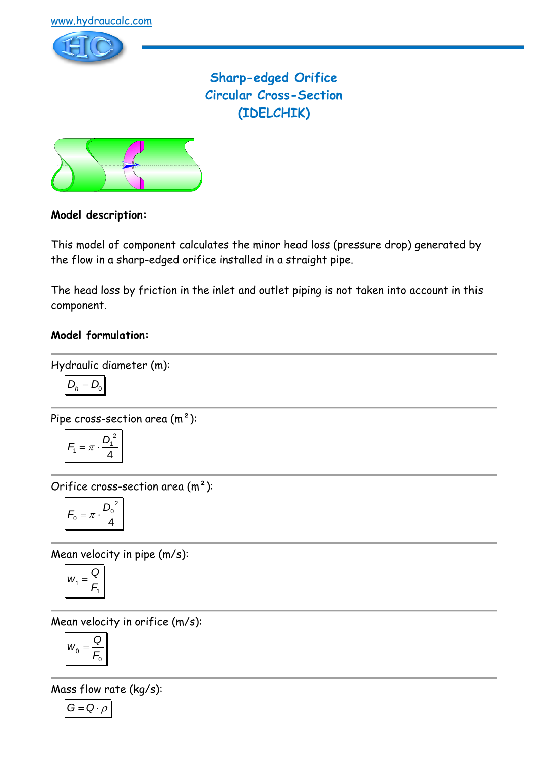

**Sharp-edged Orifice Circular Cross-Section (IDELCHIK)**



# **Model description:**

This model of component calculates the minor head loss (pressure drop) generated by the flow in a sharp-edged orifice installed in a straight pipe.

The head loss by friction in the inlet and outlet piping is not taken into account in this component.

# **Model formulation:**

Hydraulic diameter (m):

$$
D_h = D_0
$$

Pipe cross-section area (m²):

$$
F_1 = \pi \cdot \frac{D_1^2}{4}
$$

Orifice cross-section area (m²):

$$
F_0 = \pi \cdot \frac{D_0^2}{4}
$$

Mean velocity in pipe (m/s):

$$
w_1 = \frac{Q}{F_1}
$$

Mean velocity in orifice (m/s):

$$
W_0=\frac{Q}{F_0}
$$

Mass flow rate (kg/s):

$$
G=Q\cdot \rho
$$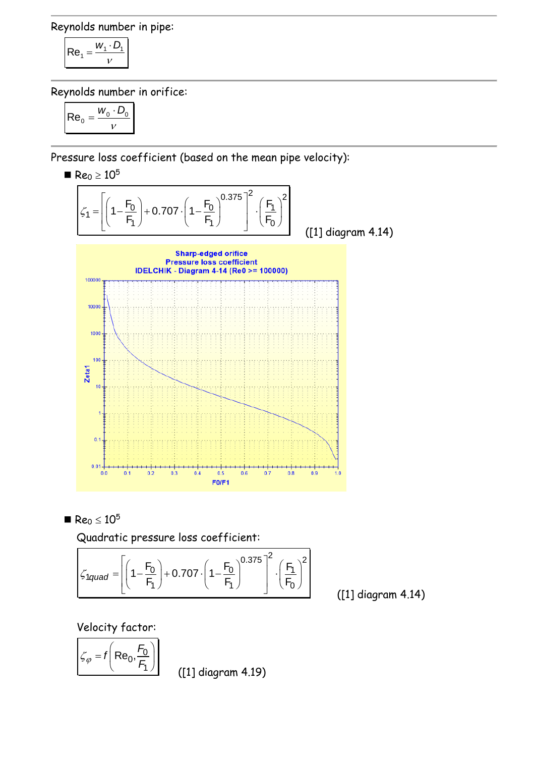Reynolds number in pipe:

$$
\mathsf{Re}_1 = \frac{w_1 \cdot D_1}{v}
$$

Reynolds number in orifice:

$$
\boxed{\mathsf{Re}_0 = \frac{w_0 \cdot D_0}{v}}
$$

Pressure loss coefficient (based on the mean pipe velocity):

 $Re_0 \ge 10^5$  $\left[\left(\frac{F_0}{1-\frac{F_0}{1+\frac{0}{0.707}}\cdot\left(1-\frac{F_0}{1-\frac{0}{0.375}}\right)^2\cdot\left(\frac{F_1}{1-\frac{0}{0.75}}\right)^2}\right]\right]$  $\left(1-\frac{F_0}{F_1}\right) + 0.707 \cdot \left(1-\frac{F_0}{F_1}\right)^{0.375}\Big]^2 \cdot \left(\frac{F_1}{F_1}\right)^{0.375}$  $= \left[ \left( 1 - \frac{F_0}{F_1} \right) + 0.707 \cdot \left( 1 - \frac{F_0}{F_1} \right)^{0.375} \right]^2 \cdot \left( \frac{F_1}{F_0} \right)^2$  $\left[\frac{1}{2}\right]$  + 0.707  $\cdot\left(1-\frac{F_0}{2}\right)^{0.375}$  $\left[\frac{2}{1}\right]^2$  $\left(\frac{F_0}{F_1}\right)$  + 0.707  $\cdot \left(1 - \frac{F_0}{F_1}\right)^{0.375}$   $\left(\frac{F_0}{F_1}\right)$  $\left[\frac{1}{2}\right]$  + 0.707  $\cdot\left(1-\frac{r_0}{F_1}\right)$   $\cdot\left(\frac{r_1}{F_0}\right)$  $\zeta_1$ ([1] diagram 4.14) **Sharp-edged orifice Pressure loss coefficient IDELCHIK - Diagram 4-14 (Re0 >= 100000)** 100000 10000 1000  $10<sup>1</sup>$ Zeta1 10  $\mathbf{0}$  $0.01 \overline{+}$  $0.7$  $0.9$  $0.0$  $0.1$  $0.2$  $0.3$  $0.4$  $0.5$  $0.6$  $0.8$  $1.0$  $FO/F1$ 

 $Re_0 \leq 10^5$ 

Quadratic pressure loss coefficient:  
\n
$$
\zeta_{1quad} = \left[ \left( 1 - \frac{F_0}{F_1} \right) + 0.707 \cdot \left( 1 - \frac{F_0}{F_1} \right)^{0.375} \right]^2 \cdot \left( \frac{F_1}{F_0} \right)^2
$$

([1] diagram 4.14)

Velocity factor:

$$
\mathcal{L}_{\varphi} = f\left(\text{Re}_0, \frac{F_0}{F_1}\right)
$$

([1] diagram 4.19)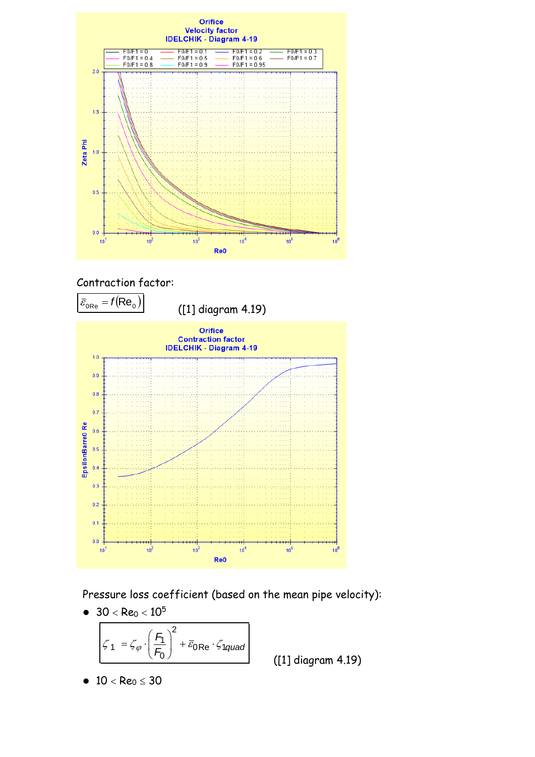





Pressure loss coefficient (based on the mean pipe velocity):

• 
$$
30 < Re_0 < 10^5
$$
  

$$
\zeta_1 = \zeta_{\varphi} \cdot \left(\frac{F_1}{F_0}\right)^2 + \overline{\varepsilon}_{0} Re \cdot \zeta_{1} \qquad \qquad
$$

([1] diagram 4.19)

$$
\bullet\ \ 10< Re_0\leq 30
$$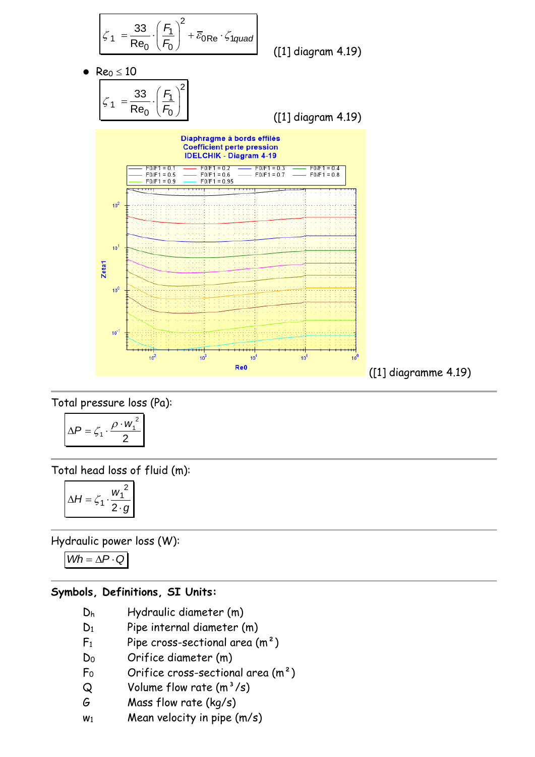

Total pressure loss (Pa):

$$
\Delta P = \zeta_1 \cdot \frac{\rho \cdot w_1^2}{2}
$$

Total head loss of fluid (m):

$$
\Delta H = \zeta_1 \cdot \frac{w_1^2}{2 \cdot g}
$$

Hydraulic power loss (W):

 $Wh = \Delta P \cdot Q$ 

# **Symbols, Definitions, SI Units:**

- D<sup>h</sup> Hydraulic diameter (m)
- D<sub>1</sub> Pipe internal diameter (m)
- $F_1$  Pipe cross-sectional area  $(m^2)$
- D<sup>0</sup> Orifice diameter (m)
- $F_0$  Orifice cross-sectional area  $(m^2)$
- $Q$  Volume flow rate  $(m^3/s)$
- G Mass flow rate (kg/s)
- $w_1$  Mean velocity in pipe  $(m/s)$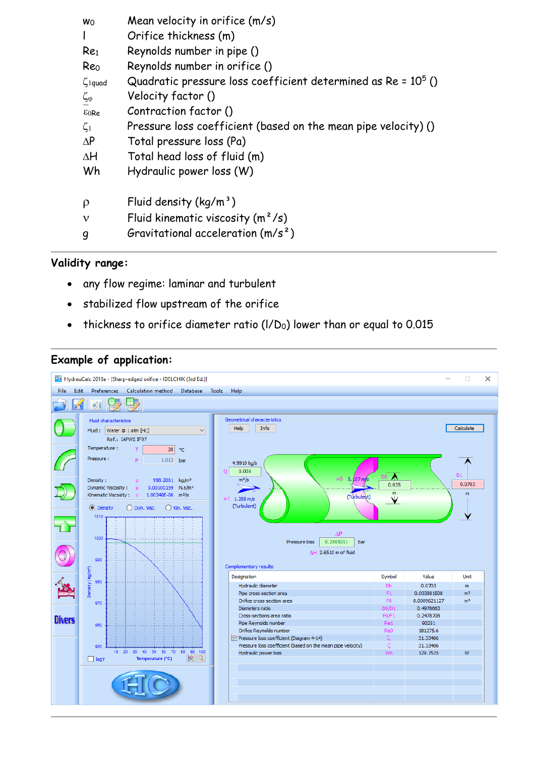| <b>W</b> o                | Mean velocity in orifice (m/s)                                  |
|---------------------------|-----------------------------------------------------------------|
|                           | Orifice thickness (m)                                           |
| Re <sub>1</sub>           | Reynolds number in pipe ()                                      |
| Reo                       | Reynolds number in orifice ()                                   |
| $\zeta$ <sub>1</sub> quad | Quadratic pressure loss coefficient determined as $Re = 105$ () |
| $\zeta_{\varphi}$         | Velocity factor ()                                              |
| $\epsilon_0$ Re           | Contraction factor ()                                           |
| $\zeta_1$                 | Pressure loss coefficient (based on the mean pipe velocity) ()  |
| $\Delta P$                | Total pressure loss (Pa)                                        |
| ΔH                        | Total head loss of fluid (m)                                    |
| Wh                        | Hydraulic power loss (W)                                        |
|                           |                                                                 |
| $\rho$                    | Fluid density $(kq/m^3)$                                        |
| ν                         | Fluid kinematic viscosity $(m^2/s)$                             |
| q                         | Gravitational acceleration $(m/s^2)$                            |

# **Validity range:**

- any flow regime: laminar and turbulent
- stabilized flow upstream of the orifice
- thickness to orifice diameter ratio ( $I/D<sub>0</sub>$ ) lower than or equal to 0.015

#### **Example of application:**